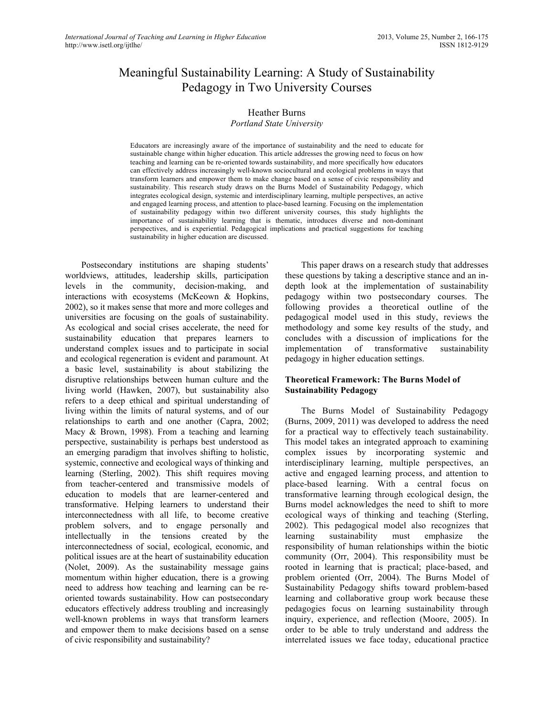# Meaningful Sustainability Learning: A Study of Sustainability Pedagogy in Two University Courses

# Heather Burns

### *Portland State University*

Educators are increasingly aware of the importance of sustainability and the need to educate for sustainable change within higher education. This article addresses the growing need to focus on how teaching and learning can be re-oriented towards sustainability, and more specifically how educators can effectively address increasingly well-known sociocultural and ecological problems in ways that transform learners and empower them to make change based on a sense of civic responsibility and sustainability. This research study draws on the Burns Model of Sustainability Pedagogy, which integrates ecological design, systemic and interdisciplinary learning, multiple perspectives, an active and engaged learning process, and attention to place-based learning. Focusing on the implementation of sustainability pedagogy within two different university courses, this study highlights the importance of sustainability learning that is thematic, introduces diverse and non-dominant perspectives, and is experiential. Pedagogical implications and practical suggestions for teaching sustainability in higher education are discussed.

Postsecondary institutions are shaping students' worldviews, attitudes, leadership skills, participation levels in the community, decision-making, and interactions with ecosystems (McKeown & Hopkins, 2002), so it makes sense that more and more colleges and universities are focusing on the goals of sustainability. As ecological and social crises accelerate, the need for sustainability education that prepares learners to understand complex issues and to participate in social and ecological regeneration is evident and paramount. At a basic level, sustainability is about stabilizing the disruptive relationships between human culture and the living world (Hawken, 2007), but sustainability also refers to a deep ethical and spiritual understanding of living within the limits of natural systems, and of our relationships to earth and one another (Capra, 2002; Macy & Brown, 1998). From a teaching and learning perspective, sustainability is perhaps best understood as an emerging paradigm that involves shifting to holistic, systemic, connective and ecological ways of thinking and learning (Sterling, 2002). This shift requires moving from teacher-centered and transmissive models of education to models that are learner-centered and transformative. Helping learners to understand their interconnectedness with all life, to become creative problem solvers, and to engage personally and intellectually in the tensions created by the interconnectedness of social, ecological, economic, and political issues are at the heart of sustainability education (Nolet, 2009). As the sustainability message gains momentum within higher education, there is a growing need to address how teaching and learning can be reoriented towards sustainability. How can postsecondary educators effectively address troubling and increasingly well-known problems in ways that transform learners and empower them to make decisions based on a sense of civic responsibility and sustainability?

This paper draws on a research study that addresses these questions by taking a descriptive stance and an indepth look at the implementation of sustainability pedagogy within two postsecondary courses. The following provides a theoretical outline of the pedagogical model used in this study, reviews the methodology and some key results of the study, and concludes with a discussion of implications for the implementation of transformative sustainability pedagogy in higher education settings.

### **Theoretical Framework: The Burns Model of Sustainability Pedagogy**

The Burns Model of Sustainability Pedagogy (Burns, 2009, 2011) was developed to address the need for a practical way to effectively teach sustainability. This model takes an integrated approach to examining complex issues by incorporating systemic and interdisciplinary learning, multiple perspectives, an active and engaged learning process, and attention to place-based learning. With a central focus on transformative learning through ecological design, the Burns model acknowledges the need to shift to more ecological ways of thinking and teaching (Sterling, 2002). This pedagogical model also recognizes that learning sustainability must emphasize the responsibility of human relationships within the biotic community (Orr, 2004). This responsibility must be rooted in learning that is practical; place-based, and problem oriented (Orr, 2004). The Burns Model of Sustainability Pedagogy shifts toward problem-based learning and collaborative group work because these pedagogies focus on learning sustainability through inquiry, experience, and reflection (Moore, 2005). In order to be able to truly understand and address the interrelated issues we face today, educational practice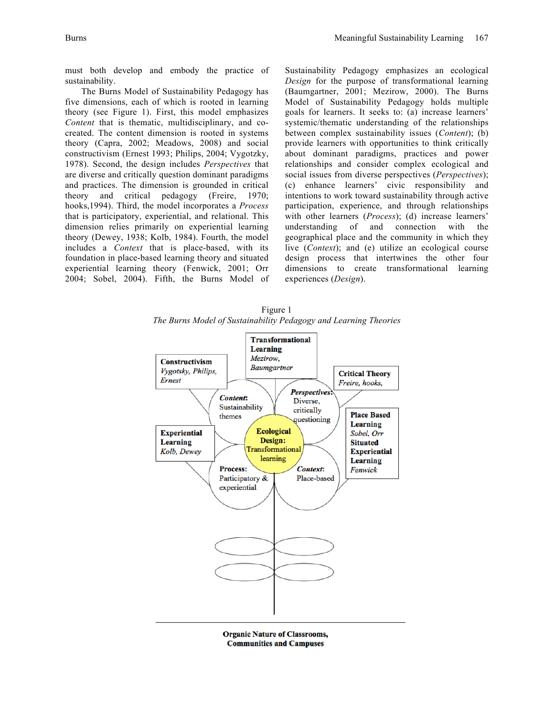must both develop and embody the practice of sustainability.

The Burns Model of Sustainability Pedagogy has five dimensions, each of which is rooted in learning theory (see Figure 1). First, this model emphasizes *Content* that is thematic, multidisciplinary, and cocreated. The content dimension is rooted in systems theory (Capra, 2002; Meadows, 2008) and social constructivism (Ernest 1993; Philips, 2004; Vygotzky, 1978). Second, the design includes *Perspectives* that are diverse and critically question dominant paradigms and practices. The dimension is grounded in critical theory and critical pedagogy (Freire, 1970; hooks,1994). Third, the model incorporates a *Process* that is participatory, experiential, and relational. This dimension relies primarily on experiential learning theory (Dewey, 1938; Kolb, 1984). Fourth, the model includes a *Context* that is place-based, with its foundation in place-based learning theory and situated experiential learning theory (Fenwick, 2001; Orr 2004; Sobel, 2004). Fifth, the Burns Model of Sustainability Pedagogy emphasizes an ecological *Design* for the purpose of transformational learning (Baumgartner, 2001; Mezirow, 2000). The Burns Model of Sustainability Pedagogy holds multiple goals for learners. It seeks to: (a) increase learners' systemic/thematic understanding of the relationships between complex sustainability issues (*Content*); (b) provide learners with opportunities to think critically about dominant paradigms, practices and power relationships and consider complex ecological and social issues from diverse perspectives (*Perspectives*); (c) enhance learners' civic responsibility and intentions to work toward sustainability through active participation, experience, and through relationships with other learners (*Process*); (d) increase learners' understanding of and connection with the geographical place and the community in which they live (*Context*); and (e) utilize an ecological course design process that intertwines the other four dimensions to create transformational learning experiences (*Design*).

Figure 1 *The Burns Model of Sustainability Pedagogy and Learning Theories*



**Organic Nature of Classrooms, Communities and Campuses**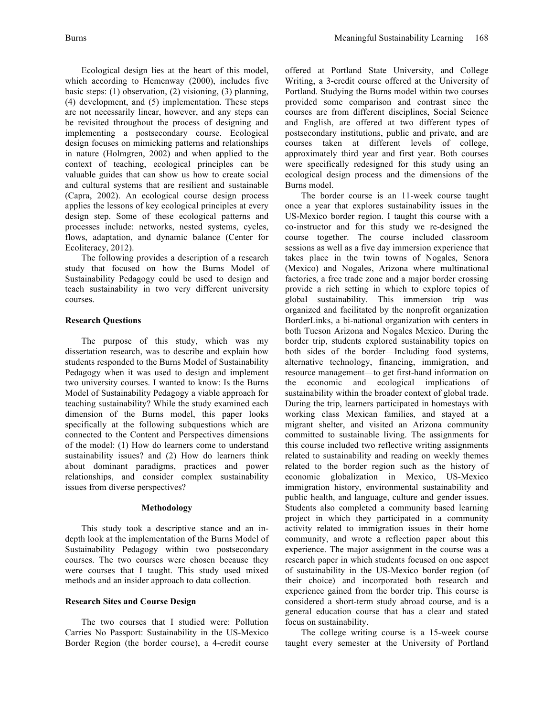Ecological design lies at the heart of this model, which according to Hemenway (2000), includes five basic steps: (1) observation, (2) visioning, (3) planning, (4) development, and (5) implementation. These steps are not necessarily linear, however, and any steps can be revisited throughout the process of designing and implementing a postsecondary course. Ecological design focuses on mimicking patterns and relationships in nature (Holmgren, 2002) and when applied to the context of teaching, ecological principles can be valuable guides that can show us how to create social and cultural systems that are resilient and sustainable (Capra, 2002). An ecological course design process applies the lessons of key ecological principles at every design step. Some of these ecological patterns and processes include: networks, nested systems, cycles, flows, adaptation, and dynamic balance (Center for Ecoliteracy, 2012).

The following provides a description of a research study that focused on how the Burns Model of Sustainability Pedagogy could be used to design and teach sustainability in two very different university courses.

### **Research Questions**

The purpose of this study, which was my dissertation research, was to describe and explain how students responded to the Burns Model of Sustainability Pedagogy when it was used to design and implement two university courses. I wanted to know: Is the Burns Model of Sustainability Pedagogy a viable approach for teaching sustainability? While the study examined each dimension of the Burns model, this paper looks specifically at the following subquestions which are connected to the Content and Perspectives dimensions of the model: (1) How do learners come to understand sustainability issues? and (2) How do learners think about dominant paradigms, practices and power relationships, and consider complex sustainability issues from diverse perspectives?

### **Methodology**

This study took a descriptive stance and an indepth look at the implementation of the Burns Model of Sustainability Pedagogy within two postsecondary courses. The two courses were chosen because they were courses that I taught. This study used mixed methods and an insider approach to data collection.

### **Research Sites and Course Design**

The two courses that I studied were: Pollution Carries No Passport: Sustainability in the US-Mexico Border Region (the border course), a 4-credit course offered at Portland State University, and College Writing, a 3-credit course offered at the University of Portland. Studying the Burns model within two courses provided some comparison and contrast since the courses are from different disciplines, Social Science and English, are offered at two different types of postsecondary institutions, public and private, and are courses taken at different levels of college, approximately third year and first year. Both courses were specifically redesigned for this study using an ecological design process and the dimensions of the Burns model.

The border course is an 11-week course taught once a year that explores sustainability issues in the US-Mexico border region. I taught this course with a co-instructor and for this study we re-designed the course together. The course included classroom sessions as well as a five day immersion experience that takes place in the twin towns of Nogales, Senora (Mexico) and Nogales, Arizona where multinational factories, a free trade zone and a major border crossing provide a rich setting in which to explore topics of global sustainability. This immersion trip was organized and facilitated by the nonprofit organization BorderLinks, a bi-national organization with centers in both Tucson Arizona and Nogales Mexico. During the border trip, students explored sustainability topics on both sides of the border—Including food systems, alternative technology, financing, immigration, and resource management—to get first-hand information on the economic and ecological implications of sustainability within the broader context of global trade. During the trip, learners participated in homestays with working class Mexican families, and stayed at a migrant shelter, and visited an Arizona community committed to sustainable living. The assignments for this course included two reflective writing assignments related to sustainability and reading on weekly themes related to the border region such as the history of economic globalization in Mexico, US-Mexico immigration history, environmental sustainability and public health, and language, culture and gender issues. Students also completed a community based learning project in which they participated in a community activity related to immigration issues in their home community, and wrote a reflection paper about this experience. The major assignment in the course was a research paper in which students focused on one aspect of sustainability in the US-Mexico border region (of their choice) and incorporated both research and experience gained from the border trip. This course is considered a short-term study abroad course, and is a general education course that has a clear and stated focus on sustainability.

The college writing course is a 15-week course taught every semester at the University of Portland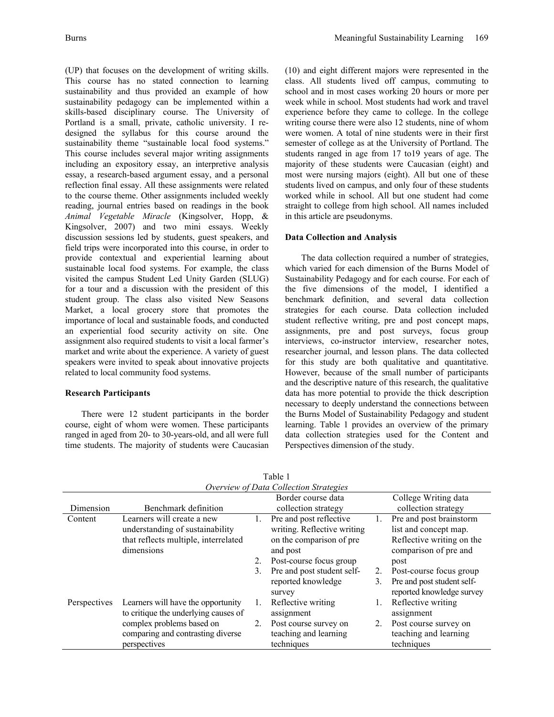(UP) that focuses on the development of writing skills. This course has no stated connection to learning sustainability and thus provided an example of how sustainability pedagogy can be implemented within a skills-based disciplinary course. The University of Portland is a small, private, catholic university. I redesigned the syllabus for this course around the sustainability theme "sustainable local food systems." This course includes several major writing assignments including an expository essay, an interpretive analysis essay, a research-based argument essay, and a personal reflection final essay. All these assignments were related to the course theme. Other assignments included weekly reading, journal entries based on readings in the book *Animal Vegetable Miracle* (Kingsolver, Hopp, & Kingsolver, 2007) and two mini essays. Weekly discussion sessions led by students, guest speakers, and field trips were incorporated into this course, in order to provide contextual and experiential learning about sustainable local food systems. For example, the class visited the campus Student Led Unity Garden (SLUG) for a tour and a discussion with the president of this student group. The class also visited New Seasons Market, a local grocery store that promotes the importance of local and sustainable foods, and conducted an experiential food security activity on site. One assignment also required students to visit a local farmer's market and write about the experience. A variety of guest speakers were invited to speak about innovative projects related to local community food systems.

# **Research Participants**

There were 12 student participants in the border course, eight of whom were women. These participants ranged in aged from 20- to 30-years-old, and all were full time students. The majority of students were Caucasian

(10) and eight different majors were represented in the class. All students lived off campus, commuting to school and in most cases working 20 hours or more per week while in school. Most students had work and travel experience before they came to college. In the college writing course there were also 12 students, nine of whom were women. A total of nine students were in their first semester of college as at the University of Portland. The students ranged in age from 17 to19 years of age. The majority of these students were Caucasian (eight) and most were nursing majors (eight). All but one of these students lived on campus, and only four of these students worked while in school. All but one student had come straight to college from high school. All names included in this article are pseudonyms.

# **Data Collection and Analysis**

The data collection required a number of strategies, which varied for each dimension of the Burns Model of Sustainability Pedagogy and for each course. For each of the five dimensions of the model, I identified a benchmark definition, and several data collection strategies for each course. Data collection included student reflective writing, pre and post concept maps, assignments, pre and post surveys, focus group interviews, co-instructor interview, researcher notes, researcher journal, and lesson plans. The data collected for this study are both qualitative and quantitative. However, because of the small number of participants and the descriptive nature of this research, the qualitative data has more potential to provide the thick description necessary to deeply understand the connections between the Burns Model of Sustainability Pedagogy and student learning. Table 1 provides an overview of the primary data collection strategies used for the Content and Perspectives dimension of the study.

| Overview of Data Collection Strategies |                                      |    |                             |    |                            |
|----------------------------------------|--------------------------------------|----|-----------------------------|----|----------------------------|
|                                        |                                      |    | Border course data          |    | College Writing data       |
| Dimension                              | Benchmark definition                 |    | collection strategy         |    | collection strategy        |
| Content                                | Learners will create a new           | Ι. | Pre and post reflective     | 1. | Pre and post brainstorm    |
|                                        | understanding of sustainability      |    | writing. Reflective writing |    | list and concept map.      |
|                                        | that reflects multiple, interrelated |    | on the comparison of pre    |    | Reflective writing on the  |
|                                        | dimensions                           |    | and post                    |    | comparison of pre and      |
|                                        |                                      | 2. | Post-course focus group     |    | post                       |
|                                        |                                      | 3. | Pre and post student self-  | 2. | Post-course focus group    |
|                                        |                                      |    | reported knowledge          | 3. | Pre and post student self- |
|                                        |                                      |    | survey                      |    | reported knowledge survey  |
| Perspectives                           | Learners will have the opportunity   | 1. | Reflective writing          |    | Reflective writing         |
|                                        | to critique the underlying causes of |    | assignment                  |    | assignment                 |
|                                        | complex problems based on            | 2. | Post course survey on       | 2. | Post course survey on      |
|                                        | comparing and contrasting diverse    |    | teaching and learning       |    | teaching and learning      |
|                                        | perspectives                         |    | techniques                  |    | techniques                 |

Table 1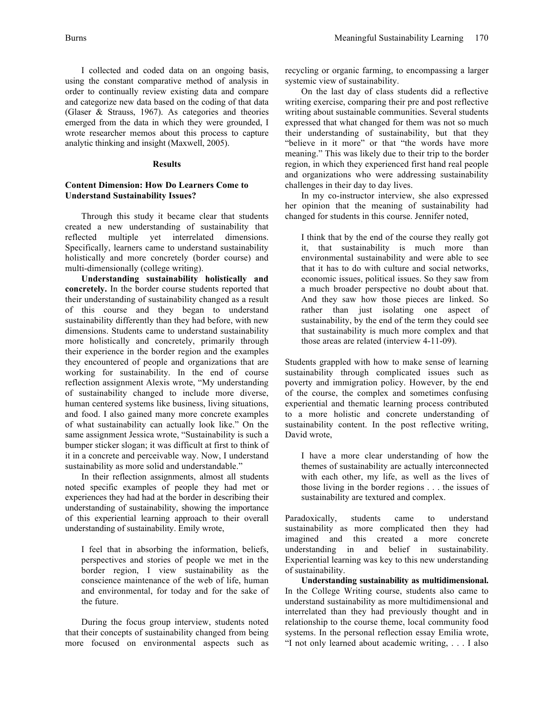I collected and coded data on an ongoing basis, using the constant comparative method of analysis in order to continually review existing data and compare and categorize new data based on the coding of that data (Glaser & Strauss, 1967). As categories and theories emerged from the data in which they were grounded, I wrote researcher memos about this process to capture analytic thinking and insight (Maxwell, 2005).

#### **Results**

# **Content Dimension: How Do Learners Come to Understand Sustainability Issues?**

Through this study it became clear that students created a new understanding of sustainability that reflected multiple yet interrelated dimensions. Specifically, learners came to understand sustainability holistically and more concretely (border course) and multi-dimensionally (college writing).

**Understanding sustainability holistically and concretely.** In the border course students reported that their understanding of sustainability changed as a result of this course and they began to understand sustainability differently than they had before, with new dimensions. Students came to understand sustainability more holistically and concretely, primarily through their experience in the border region and the examples they encountered of people and organizations that are working for sustainability. In the end of course reflection assignment Alexis wrote, "My understanding of sustainability changed to include more diverse, human centered systems like business, living situations, and food. I also gained many more concrete examples of what sustainability can actually look like." On the same assignment Jessica wrote, "Sustainability is such a bumper sticker slogan; it was difficult at first to think of it in a concrete and perceivable way. Now, I understand sustainability as more solid and understandable."

In their reflection assignments, almost all students noted specific examples of people they had met or experiences they had had at the border in describing their understanding of sustainability, showing the importance of this experiential learning approach to their overall understanding of sustainability. Emily wrote,

I feel that in absorbing the information, beliefs, perspectives and stories of people we met in the border region, I view sustainability as the conscience maintenance of the web of life, human and environmental, for today and for the sake of the future.

During the focus group interview, students noted that their concepts of sustainability changed from being more focused on environmental aspects such as

recycling or organic farming, to encompassing a larger systemic view of sustainability.

On the last day of class students did a reflective writing exercise, comparing their pre and post reflective writing about sustainable communities. Several students expressed that what changed for them was not so much their understanding of sustainability, but that they "believe in it more" or that "the words have more meaning." This was likely due to their trip to the border region, in which they experienced first hand real people and organizations who were addressing sustainability challenges in their day to day lives.

In my co-instructor interview, she also expressed her opinion that the meaning of sustainability had changed for students in this course. Jennifer noted,

I think that by the end of the course they really got it, that sustainability is much more than environmental sustainability and were able to see that it has to do with culture and social networks, economic issues, political issues. So they saw from a much broader perspective no doubt about that. And they saw how those pieces are linked. So rather than just isolating one aspect of sustainability, by the end of the term they could see that sustainability is much more complex and that those areas are related (interview 4-11-09).

Students grappled with how to make sense of learning sustainability through complicated issues such as poverty and immigration policy. However, by the end of the course, the complex and sometimes confusing experiential and thematic learning process contributed to a more holistic and concrete understanding of sustainability content. In the post reflective writing, David wrote,

I have a more clear understanding of how the themes of sustainability are actually interconnected with each other, my life, as well as the lives of those living in the border regions . . . the issues of sustainability are textured and complex.

Paradoxically, students came to understand sustainability as more complicated then they had imagined and this created a more concrete understanding in and belief in sustainability. Experiential learning was key to this new understanding of sustainability.

**Understanding sustainability as multidimensional.** In the College Writing course, students also came to understand sustainability as more multidimensional and interrelated than they had previously thought and in relationship to the course theme, local community food systems. In the personal reflection essay Emilia wrote, "I not only learned about academic writing, . . . I also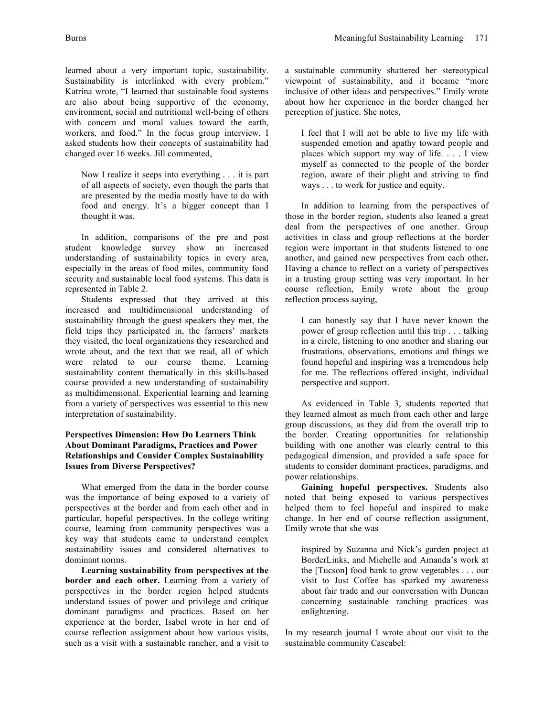learned about a very important topic, sustainability. Sustainability is interlinked with every problem." Katrina wrote, "I learned that sustainable food systems are also about being supportive of the economy, environment, social and nutritional well-being of others with concern and moral values toward the earth, workers, and food." In the focus group interview, I asked students how their concepts of sustainability had changed over 16 weeks. Jill commented,

Now I realize it seeps into everything . . . it is part of all aspects of society, even though the parts that are presented by the media mostly have to do with food and energy. It's a bigger concept than I thought it was.

In addition, comparisons of the pre and post student knowledge survey show an increased understanding of sustainability topics in every area, especially in the areas of food miles, community food security and sustainable local food systems. This data is represented in Table 2.

Students expressed that they arrived at this increased and multidimensional understanding of sustainability through the guest speakers they met, the field trips they participated in, the farmers' markets they visited, the local organizations they researched and wrote about, and the text that we read, all of which were related to our course theme. Learning sustainability content thematically in this skills-based course provided a new understanding of sustainability as multidimensional. Experiential learning and learning from a variety of perspectives was essential to this new interpretation of sustainability.

# **Perspectives Dimension: How Do Learners Think About Dominant Paradigms, Practices and Power Relationships and Consider Complex Sustainability Issues from Diverse Perspectives?**

What emerged from the data in the border course was the importance of being exposed to a variety of perspectives at the border and from each other and in particular, hopeful perspectives. In the college writing course, learning from community perspectives was a key way that students came to understand complex sustainability issues and considered alternatives to dominant norms.

**Learning sustainability from perspectives at the border and each other.** Learning from a variety of perspectives in the border region helped students understand issues of power and privilege and critique dominant paradigms and practices. Based on her experience at the border, Isabel wrote in her end of course reflection assignment about how various visits, such as a visit with a sustainable rancher, and a visit to a sustainable community shattered her stereotypical viewpoint of sustainability, and it became "more inclusive of other ideas and perspectives." Emily wrote about how her experience in the border changed her perception of justice. She notes,

I feel that I will not be able to live my life with suspended emotion and apathy toward people and places which support my way of life. . . . I view myself as connected to the people of the border region, aware of their plight and striving to find ways . . . to work for justice and equity.

In addition to learning from the perspectives of those in the border region, students also leaned a great deal from the perspectives of one another. Group activities in class and group reflections at the border region were important in that students listened to one another, and gained new perspectives from each other**.**  Having a chance to reflect on a variety of perspectives in a trusting group setting was very important. In her course reflection, Emily wrote about the group reflection process saying,

I can honestly say that I have never known the power of group reflection until this trip . . . talking in a circle, listening to one another and sharing our frustrations, observations, emotions and things we found hopeful and inspiring was a tremendous help for me. The reflections offered insight, individual perspective and support.

As evidenced in Table 3, students reported that they learned almost as much from each other and large group discussions, as they did from the overall trip to the border. Creating opportunities for relationship building with one another was clearly central to this pedagogical dimension, and provided a safe space for students to consider dominant practices, paradigms, and power relationships.

**Gaining hopeful perspectives.** Students also noted that being exposed to various perspectives helped them to feel hopeful and inspired to make change. In her end of course reflection assignment, Emily wrote that she was

inspired by Suzanna and Nick's garden project at BorderLinks, and Michelle and Amanda's work at the [Tucson] food bank to grow vegetables . . . our visit to Just Coffee has sparked my awareness about fair trade and our conversation with Duncan concerning sustainable ranching practices was enlightening.

In my research journal I wrote about our visit to the sustainable community Cascabel: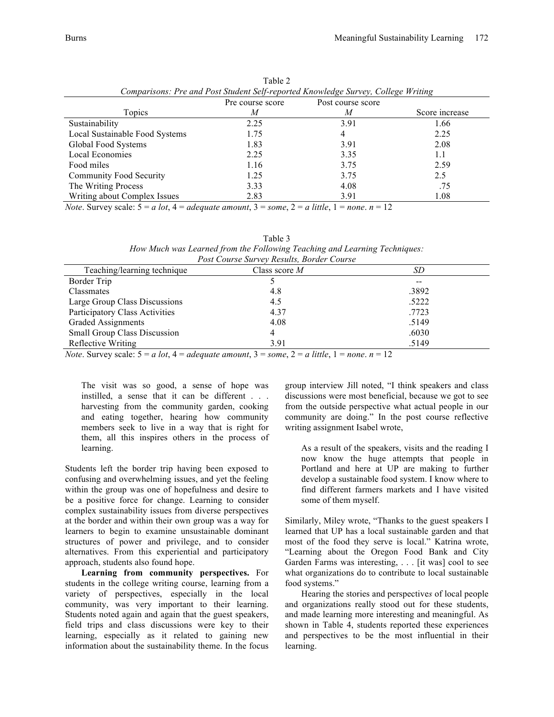| Comparisons: Pre and Post Student Self-reported Knowledge Survey, College Writing |                  |                   |                |  |
|-----------------------------------------------------------------------------------|------------------|-------------------|----------------|--|
|                                                                                   | Pre course score | Post course score |                |  |
| Topics                                                                            | M                | M                 | Score increase |  |
| Sustainability                                                                    | 2.25             | 3.91              | 1.66           |  |
| Local Sustainable Food Systems                                                    | 1.75             | 4                 | 2.25           |  |
| Global Food Systems                                                               | 1.83             | 3.91              | 2.08           |  |
| Local Economies                                                                   | 2.25             | 3.35              | 1.1            |  |
| Food miles                                                                        | 1.16             | 3.75              | 2.59           |  |
| <b>Community Food Security</b>                                                    | 1.25             | 3.75              | 2.5            |  |
| The Writing Process                                                               | 3.33             | 4.08              | .75            |  |
| Writing about Complex Issues                                                      | 2.83             | 3.91              | 1.08           |  |

Table 2 *Comparisons: Pre and Post Student Self-reported Knowledge Survey, College Writing*

*Note*. Survey scale:  $5 = a$  *lot*,  $4 = adequate$  *amount*,  $3 = some$ ,  $2 = a$  *little*,  $1 = none$ .  $n = 12$ 

| Table 3                                                                                                                                                                                                                                                        |
|----------------------------------------------------------------------------------------------------------------------------------------------------------------------------------------------------------------------------------------------------------------|
| How Much was Learned from the Following Teaching and Learning Techniques:                                                                                                                                                                                      |
| $D_{1}$ $A_{2}$ $C_{3}$ $C_{4}$ $D_{5}$ $D_{6}$ $D_{7}$ $D_{8}$ $D_{1}$ $D_{1}$ $D_{1}$ $D_{2}$ $D_{3}$ $D_{4}$ $D_{5}$ $D_{6}$ $D_{7}$ $D_{8}$ $D_{9}$ $D_{1}$ $D_{1}$ $D_{1}$ $D_{1}$ $D_{1}$ $D_{2}$ $D_{3}$ $D_{4}$ $D_{5}$ $D_{6}$ $D_{7}$ $D_{8}$ $D_{9$ |

| Post Course Survey Results, Border Course |                 |       |  |  |
|-------------------------------------------|-----------------|-------|--|--|
| Teaching/learning technique               | Class score $M$ | SD    |  |  |
| Border Trip                               |                 | --    |  |  |
| Classmates                                | 4.8             | .3892 |  |  |
| Large Group Class Discussions             | 4.5             | .5222 |  |  |
| Participatory Class Activities            | 4.37            | .7723 |  |  |
| Graded Assignments                        | 4.08            | .5149 |  |  |
| <b>Small Group Class Discussion</b>       | 4               | .6030 |  |  |
| Reflective Writing                        | 3.91            | .5149 |  |  |

*Note*. Survey scale:  $5 = a$  *lot*,  $4 = adequate$  *amount*,  $3 = some$ ,  $2 = a$  *little*,  $1 = none$ .  $n = 12$ 

The visit was so good, a sense of hope was instilled, a sense that it can be different . . . harvesting from the community garden, cooking and eating together, hearing how community members seek to live in a way that is right for them, all this inspires others in the process of learning.

Students left the border trip having been exposed to confusing and overwhelming issues, and yet the feeling within the group was one of hopefulness and desire to be a positive force for change. Learning to consider complex sustainability issues from diverse perspectives at the border and within their own group was a way for learners to begin to examine unsustainable dominant structures of power and privilege, and to consider alternatives. From this experiential and participatory approach, students also found hope.

**Learning from community perspectives.** For students in the college writing course, learning from a variety of perspectives, especially in the local community, was very important to their learning. Students noted again and again that the guest speakers, field trips and class discussions were key to their learning, especially as it related to gaining new information about the sustainability theme. In the focus

group interview Jill noted, "I think speakers and class discussions were most beneficial, because we got to see from the outside perspective what actual people in our community are doing." In the post course reflective writing assignment Isabel wrote,

As a result of the speakers, visits and the reading I now know the huge attempts that people in Portland and here at UP are making to further develop a sustainable food system. I know where to find different farmers markets and I have visited some of them myself.

Similarly, Miley wrote, "Thanks to the guest speakers I learned that UP has a local sustainable garden and that most of the food they serve is local." Katrina wrote, "Learning about the Oregon Food Bank and City Garden Farms was interesting, . . . [it was] cool to see what organizations do to contribute to local sustainable food systems."

Hearing the stories and perspective*s* of local people and organizations really stood out for these students, and made learning more interesting and meaningful. As shown in Table 4, students reported these experiences and perspectives to be the most influential in their learning.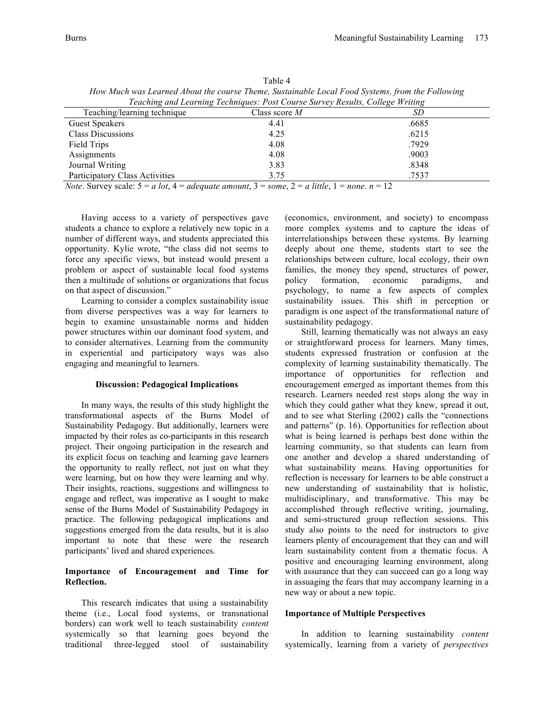|                                                                               | TTO IT TIMES IT WAS ELDNESSED ON THE COMPUTER THEIR COMPUTER OUTLET TO WE STATED THE MINT OF STRONG IT MAY |       |  |  |  |
|-------------------------------------------------------------------------------|------------------------------------------------------------------------------------------------------------|-------|--|--|--|
| Teaching and Learning Techniques: Post Course Survey Results, College Writing |                                                                                                            |       |  |  |  |
| Teaching/learning technique                                                   | Class score $M$                                                                                            | SD.   |  |  |  |
| <b>Guest Speakers</b>                                                         | 4.41                                                                                                       | .6685 |  |  |  |
| <b>Class Discussions</b>                                                      | 4.25                                                                                                       | .6215 |  |  |  |
| Field Trips                                                                   | 4.08                                                                                                       | .7929 |  |  |  |
| Assignments                                                                   | 4.08                                                                                                       | .9003 |  |  |  |
| Journal Writing                                                               | 3.83                                                                                                       | .8348 |  |  |  |
| <b>Participatory Class Activities</b>                                         | 3.75                                                                                                       | .7537 |  |  |  |
|                                                                               |                                                                                                            |       |  |  |  |

Table 4 *How Much was Learned About the course Theme, Sustainable Local Food Systems, from the Following* 

*Note*. Survey scale:  $5 = a$  *lot*,  $4 = adequate$  *amount*,  $3 = some$ ,  $2 = a$  *little*,  $1 = none$ .  $n = 12$ 

Having access to a variety of perspectives gave students a chance to explore a relatively new topic in a number of different ways, and students appreciated this opportunity. Kylie wrote, "the class did not seems to force any specific views, but instead would present a problem or aspect of sustainable local food systems then a multitude of solutions or organizations that focus on that aspect of discussion."

Learning to consider a complex sustainability issue from diverse perspectives was a way for learners to begin to examine unsustainable norms and hidden power structures within our dominant food system, and to consider alternatives. Learning from the community in experiential and participatory ways was also engaging and meaningful to learners.

#### **Discussion: Pedagogical Implications**

In many ways, the results of this study highlight the transformational aspects of the Burns Model of Sustainability Pedagogy. But additionally, learners were impacted by their roles as co-participants in this research project. Their ongoing participation in the research and its explicit focus on teaching and learning gave learners the opportunity to really reflect, not just on what they were learning, but on how they were learning and why. Their insights, reactions, suggestions and willingness to engage and reflect, was imperative as I sought to make sense of the Burns Model of Sustainability Pedagogy in practice. The following pedagogical implications and suggestions emerged from the data results, but it is also important to note that these were the research participants' lived and shared experiences.

# **Importance of Encouragement and Time for Reflection.**

This research indicates that using a sustainability theme (i.e., Local food systems, or transnational borders) can work well to teach sustainability *content* systemically so that learning goes beyond the traditional three-legged stool of sustainability (economics, environment, and society) to encompass more complex systems and to capture the ideas of interrelationships between these systems. By learning deeply about one theme, students start to see the relationships between culture, local ecology, their own families, the money they spend, structures of power, policy formation, economic paradigms, and psychology, to name a few aspects of complex sustainability issues. This shift in perception or paradigm is one aspect of the transformational nature of sustainability pedagogy.

Still, learning thematically was not always an easy or straightforward process for learners. Many times, students expressed frustration or confusion at the complexity of learning sustainability thematically. The importance of opportunities for reflection and encouragement emerged as important themes from this research. Learners needed rest stops along the way in which they could gather what they knew, spread it out, and to see what Sterling (2002) calls the "connections and patterns" (p. 16). Opportunities for reflection about what is being learned is perhaps best done within the learning community, so that students can learn from one another and develop a shared understanding of what sustainability means. Having opportunities for reflection is necessary for learners to be able construct a new understanding of sustainability that is holistic, multidisciplinary, and transformative. This may be accomplished through reflective writing, journaling, and semi-structured group reflection sessions. This study also points to the need for instructors to give learners plenty of encouragement that they can and will learn sustainability content from a thematic focus. A positive and encouraging learning environment, along with assurance that they can succeed can go a long way in assuaging the fears that may accompany learning in a new way or about a new topic.

### **Importance of Multiple Perspectives**

In addition to learning sustainability *content*  systemically, learning from a variety of *perspectives*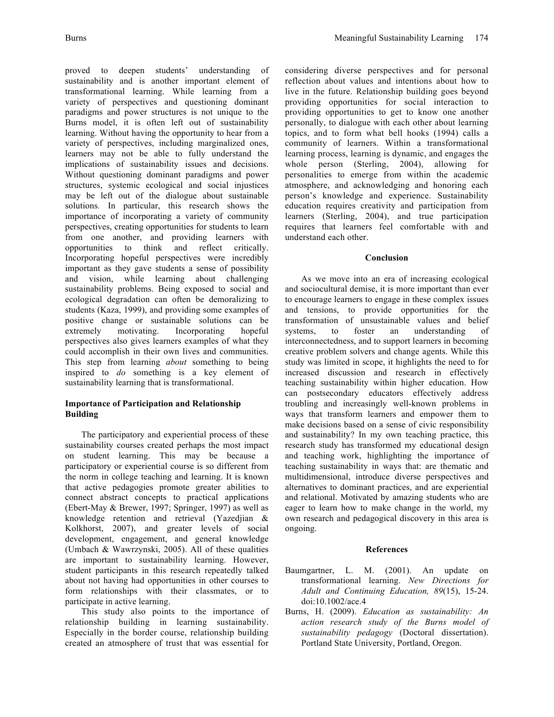proved to deepen students' understanding of sustainability and is another important element of transformational learning. While learning from a variety of perspectives and questioning dominant paradigms and power structures is not unique to the Burns model, it is often left out of sustainability learning. Without having the opportunity to hear from a variety of perspectives, including marginalized ones, learners may not be able to fully understand the implications of sustainability issues and decisions. Without questioning dominant paradigms and power structures, systemic ecological and social injustices may be left out of the dialogue about sustainable solutions*.* In particular, this research shows the importance of incorporating a variety of community perspectives, creating opportunities for students to learn from one another, and providing learners with opportunities to think and reflect critically. Incorporating hopeful perspectives were incredibly important as they gave students a sense of possibility and vision, while learning about challenging sustainability problems. Being exposed to social and ecological degradation can often be demoralizing to students (Kaza, 1999), and providing some examples of positive change or sustainable solutions can be extremely motivating. Incorporating hopeful perspectives also gives learners examples of what they could accomplish in their own lives and communities. This step from learning *about* something to being inspired to *do* something is a key element of sustainability learning that is transformational.

# **Importance of Participation and Relationship Building**

The participatory and experiential process of these sustainability courses created perhaps the most impact on student learning. This may be because a participatory or experiential course is so different from the norm in college teaching and learning. It is known that active pedagogies promote greater abilities to connect abstract concepts to practical applications (Ebert-May & Brewer, 1997; Springer, 1997) as well as knowledge retention and retrieval (Yazedjian & Kolkhorst, 2007), and greater levels of social development, engagement, and general knowledge (Umbach & Wawrzynski, 2005). All of these qualities are important to sustainability learning. However, student participants in this research repeatedly talked about not having had opportunities in other courses to form relationships with their classmates, or to participate in active learning.

This study also points to the importance of relationship building in learning sustainability. Especially in the border course, relationship building created an atmosphere of trust that was essential for

considering diverse perspectives and for personal reflection about values and intentions about how to live in the future. Relationship building goes beyond providing opportunities for social interaction to providing opportunities to get to know one another personally, to dialogue with each other about learning topics, and to form what bell hooks (1994) calls a community of learners. Within a transformational learning process, learning is dynamic, and engages the whole person (Sterling, 2004), allowing for personalities to emerge from within the academic atmosphere, and acknowledging and honoring each person's knowledge and experience. Sustainability education requires creativity and participation from learners (Sterling, 2004), and true participation requires that learners feel comfortable with and understand each other.

# **Conclusion**

As we move into an era of increasing ecological and sociocultural demise, it is more important than ever to encourage learners to engage in these complex issues and tensions, to provide opportunities for the transformation of unsustainable values and belief systems, to foster an understanding of interconnectedness, and to support learners in becoming creative problem solvers and change agents. While this study was limited in scope, it highlights the need to for increased discussion and research in effectively teaching sustainability within higher education. How can postsecondary educators effectively address troubling and increasingly well-known problems in ways that transform learners and empower them to make decisions based on a sense of civic responsibility and sustainability? In my own teaching practice, this research study has transformed my educational design and teaching work, highlighting the importance of teaching sustainability in ways that: are thematic and multidimensional, introduce diverse perspectives and alternatives to dominant practices, and are experiential and relational. Motivated by amazing students who are eager to learn how to make change in the world, my own research and pedagogical discovery in this area is ongoing.

# **References**

- Baumgartner, L. M. (2001). An update on transformational learning. *New Directions for Adult and Continuing Education, 89*(15), 15-24. doi:10.1002/ace.4
- Burns, H. (2009). *Education as sustainability: An action research study of the Burns model of sustainability pedagogy* (Doctoral dissertation). Portland State University, Portland, Oregon.